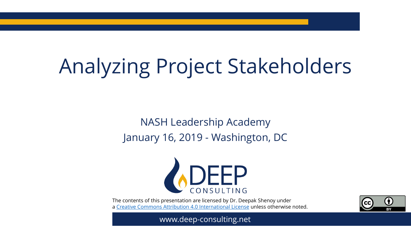# Analyzing Project Stakeholders

NASH Leadership Academy January 16, 2019 - Washington, DC



The contents of this presentation are licensed by Dr. Deepak Shenoy under a [Creative Commons Attribution 4.0 International License](https://creativecommons.org/licenses/by/4.0/) unless otherwise noted.



www.deep-consulting.net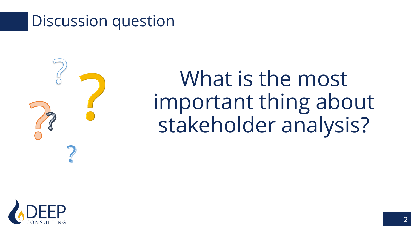### Discussion question



What is the most important thing about stakeholder analysis?

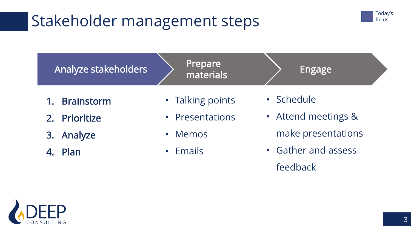## Stakeholder management steps





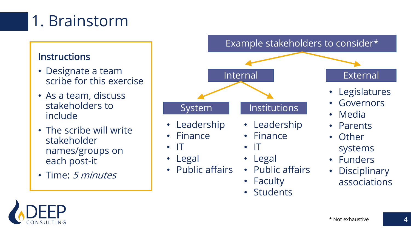# 1. Brainstorm

#### **Instructions**

- Designate a team scribe for this exercise
- As a team, discuss stakeholders to include
- The scribe will write stakeholder names/groups on each post-it
- Time: 5 *minutes*



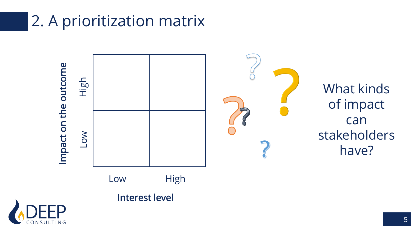## 2. A prioritization matrix



5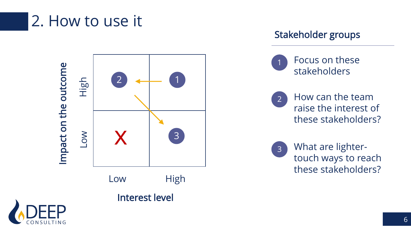### 2. How to use it



#### Stakeholder groups





 $\mathbf{Q}$  How can the team raise the interest of these stakeholders?

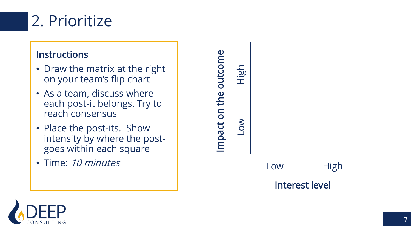

#### **Instructions**

- Draw the matrix at the right on your team's flip chart
- As a team, discuss where each post -it belongs. Try to reach consensus
- Place the post-its. Show intensity by where the post goes within each square
- Time: 10 minutes



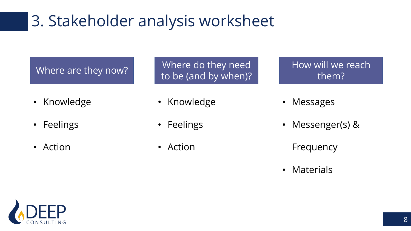## 3. Stakeholder analysis worksheet

- Knowledge
- Feelings
- Action

Where are they now? Where do they need to be (and by when)?

- Knowledge
- Feelings
- Action
- How will we reach them?
- Messages
- Messenger(s) &
	- Frequency
- Materials

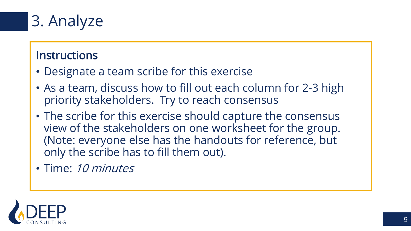

### **Instructions**

- Designate a team scribe for this exercise
- As a team, discuss how to fill out each column for 2-3 high priority stakeholders. Try to reach consensus
- The scribe for this exercise should capture the consensus view of the stakeholders on one worksheet for the group. (Note: everyone else has the handouts for reference, but only the scribe has to fill them out).
- Time: 10 minutes

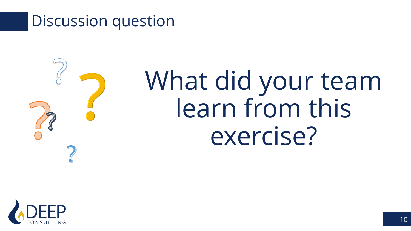### Discussion question



# What did your team learn from this exercise?

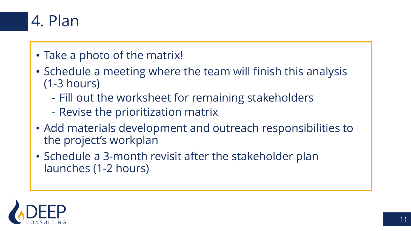

- Take a photo of the matrix!
- Schedule a meeting where the team will finish this analysis (1-3 hours)
	- Fill out the worksheet for remaining stakeholders
	- Revise the prioritization matrix
- Add materials development and outreach responsibilities to the project's workplan
- Schedule a 3-month revisit after the stakeholder plan launches (1-2 hours)

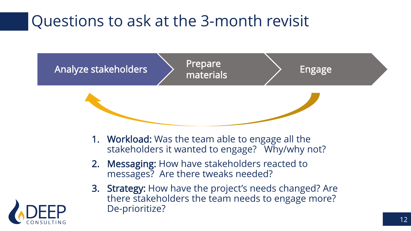## Questions to ask at the 3-month revisit



- 1. Workload: Was the team able to engage all the stakeholders it wanted to engage? Why/why not?
- 2. Messaging: How have stakeholders reacted to messages? Are there tweaks needed?
- 3. Strategy: How have the project's needs changed? Are there stakeholders the team needs to engage more? De-prioritize?